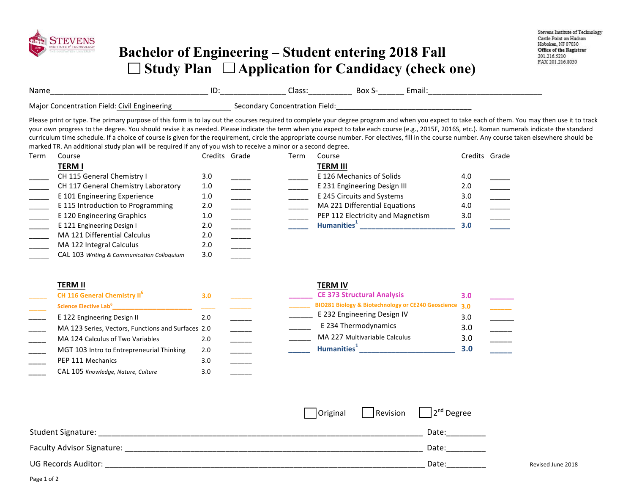

## **Bachelor of Engineering – Student entering 2018 Fall**  □ Study Plan □ Application for Candidacy (check one)

| <b>Name</b>                                     | . . | ددەن<br>___________<br>________________ | DUA<br>_______ |  |
|-------------------------------------------------|-----|-----------------------------------------|----------------|--|
| Field:<br>11.QIC<br>า+เกท<br>`IMI<br>.or<br>nn. |     | ·ield<br>חר                             |                |  |

Please print or type. The primary purpose of this form is to lay out the courses required to complete your degree program and when you expect to take each of them. You may then use it to track your own progress to the degree. You should revise it as needed. Please indicate the term when you expect to take each course (e.g., 2015F, 2016S, etc.). Roman numerals indicate the standard curriculum time schedule. If a choice of course is given for the requirement, circle the appropriate course number. For electives, fill in the course number. Any course taken elsewhere should be marked TR. An additional study plan will be required if any of you wish to receive a minor or a second degree.

| Term | Course                                     | Credits Grade | Term | Course                            |     | Credits Grade |
|------|--------------------------------------------|---------------|------|-----------------------------------|-----|---------------|
|      | <b>TERM I</b>                              |               |      | <b>TERM III</b>                   |     |               |
|      | CH 115 General Chemistry I                 | 3.0           |      | E 126 Mechanics of Solids         | 4.0 |               |
|      | CH 117 General Chemistry Laboratory        | 1.0           |      | E 231 Engineering Design III      | 2.0 |               |
|      | E 101 Engineering Experience               | 1.0           |      | E 245 Circuits and Systems        | 3.0 |               |
|      | E 115 Introduction to Programming          | 2.0           |      | MA 221 Differential Equations     | 4.0 |               |
|      | E 120 Engineering Graphics                 | 1.0           |      | PEP 112 Electricity and Magnetism | 3.0 |               |
|      | E 121 Engineering Design I                 | 2.0           |      | Humanities <sup>+</sup>           | 3.0 |               |
|      | MA 121 Differential Calculus               | 2.0           |      |                                   |     |               |
|      | MA 122 Integral Calculus                   | 2.0           |      |                                   |     |               |
|      | CAL 103 Writing & Communication Colloguium | 3.0           |      |                                   |     |               |

| <b>TERM II</b>                                     |     |  | <b>TERM IV</b>                                         |     |
|----------------------------------------------------|-----|--|--------------------------------------------------------|-----|
| CH 116 General Chemistry II <sup>6</sup>           | 3.0 |  | <b>CE 373 Structural Analysis</b>                      | 3.0 |
| Science Elective Lab <sup>6</sup>                  |     |  | BIO281 Biology & Biotechnology or CE240 Geoscience 3.0 |     |
| E 122 Engineering Design II                        | 2.0 |  | E 232 Engineering Design IV                            | 3.0 |
| MA 123 Series, Vectors, Functions and Surfaces 2.0 |     |  | E 234 Thermodynamics                                   | 3.0 |
| MA 124 Calculus of Two Variables                   | 2.0 |  | MA 227 Multivariable Calculus                          | 3.0 |
| MGT 103 Intro to Entrepreneurial Thinking          | 2.0 |  | Humanities <sup>1</sup>                                | 3.0 |
| PEP 111 Mechanics                                  | 3.0 |  |                                                        |     |

|                            |  | $\vert$ Original $\vert$ Revision $\vert$ $\vert$ 2 <sup>nd</sup> Degree |                   |
|----------------------------|--|--------------------------------------------------------------------------|-------------------|
| Student Signature:         |  | Date:                                                                    |                   |
| Faculty Advisor Signature: |  | Date:                                                                    |                   |
| <b>UG Records Auditor:</b> |  | Date:                                                                    | Revised June 2018 |

\_\_\_\_ CAL 105 *Knowledge, Nature, Culture* 3.0 \_\_\_\_\_\_